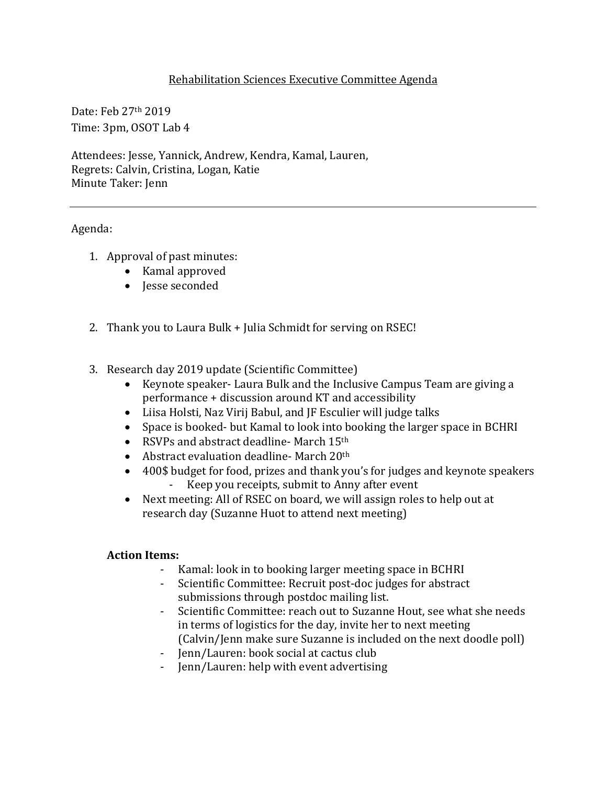## Rehabilitation Sciences Executive Committee Agenda

Date: Feb 27th 2019 Time: 3pm, OSOT Lab 4

Attendees: Jesse, Yannick, Andrew, Kendra, Kamal, Lauren, Regrets: Calvin, Cristina, Logan, Katie Minute Taker: Jenn

Agenda:

- 1. Approval of past minutes:
	- Kamal approved
	- Jesse seconded
- 2. Thank you to Laura Bulk + Julia Schmidt for serving on RSEC!
- 3. Research day 2019 update (Scientific Committee)
	- Keynote speaker- Laura Bulk and the Inclusive Campus Team are giving a performance + discussion around KT and accessibility
	- Liisa Holsti, Naz Virij Babul, and JF Esculier will judge talks
	- Space is booked- but Kamal to look into booking the larger space in BCHRI
	- RSVPs and abstract deadline- March  $15<sup>th</sup>$
	- Abstract evaluation deadline- March  $20<sup>th</sup>$
	- 400\$ budget for food, prizes and thank you's for judges and keynote speakers - Keep you receipts, submit to Anny after event
	- Next meeting: All of RSEC on board, we will assign roles to help out at research day (Suzanne Huot to attend next meeting)

## **Action Items:**

- Kamal: look in to booking larger meeting space in BCHRI
- Scientific Committee: Recruit post-doc judges for abstract submissions through postdoc mailing list.
- Scientific Committee: reach out to Suzanne Hout, see what she needs in terms of logistics for the day, invite her to next meeting (Calvin/Jenn make sure Suzanne is included on the next doodle poll)
- Jenn/Lauren: book social at cactus club
- Jenn/Lauren: help with event advertising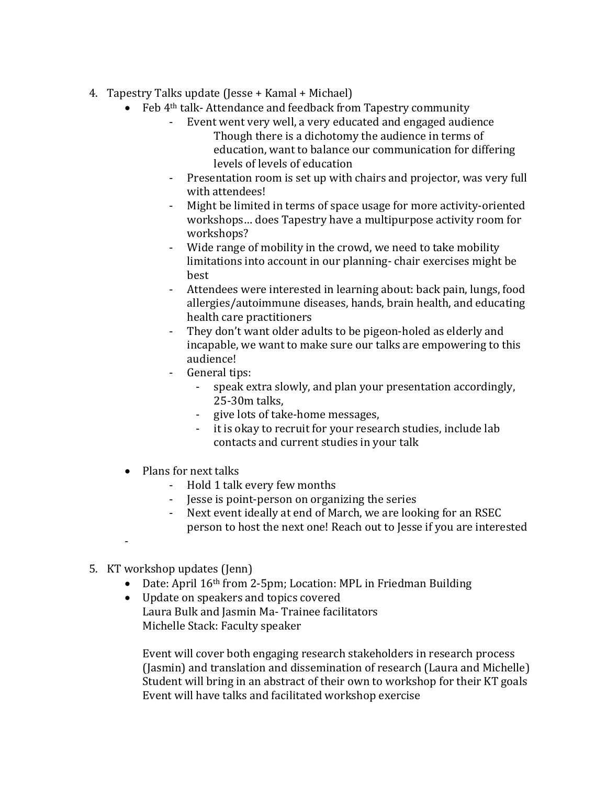- 4. Tapestry Talks update (Jesse  $+$  Kamal  $+$  Michael)
	- Feb 4<sup>th</sup> talk-Attendance and feedback from Tapestry community
		- Event went very well, a very educated and engaged audience Though there is a dichotomy the audience in terms of education, want to balance our communication for differing levels of levels of education
		- Presentation room is set up with chairs and projector, was very full with attendees!
		- Might be limited in terms of space usage for more activity-oriented workshops... does Tapestry have a multipurpose activity room for workshops?
		- Wide range of mobility in the crowd, we need to take mobility limitations into account in our planning- chair exercises might be best
		- Attendees were interested in learning about: back pain, lungs, food allergies/autoimmune diseases, hands, brain health, and educating health care practitioners
		- They don't want older adults to be pigeon-holed as elderly and incapable, we want to make sure our talks are empowering to this audience!
		- General tips:
			- speak extra slowly, and plan your presentation accordingly, 25-30m talks,
			- give lots of take-home messages,
			- it is okay to recruit for your research studies, include lab contacts and current studies in your talk
	- $\bullet$  Plans for next talks
		- Hold 1 talk every few months
		- Jesse is point-person on organizing the series
		- Next event ideally at end of March, we are looking for an RSEC person to host the next one! Reach out to Jesse if you are interested
	- -
- 5. KT workshop updates (Jenn)
	- Date: April 16<sup>th</sup> from 2-5pm; Location: MPL in Friedman Building
	- Update on speakers and topics covered Laura Bulk and Iasmin Ma- Trainee facilitators Michelle Stack: Faculty speaker

Event will cover both engaging research stakeholders in research process (Jasmin) and translation and dissemination of research (Laura and Michelle) Student will bring in an abstract of their own to workshop for their KT goals Event will have talks and facilitated workshop exercise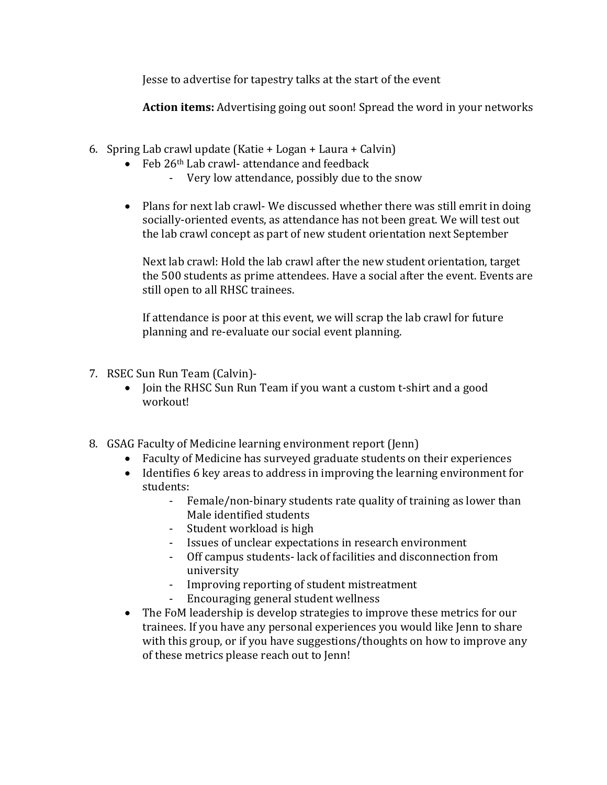Jesse to advertise for tapestry talks at the start of the event

**Action items:** Advertising going out soon! Spread the word in your networks

- 6. Spring Lab crawl update  $(Katie + Logan + Lawra + Calvin)$ 
	- Feb  $26<sup>th</sup>$  Lab crawl- attendance and feedback
		- Very low attendance, possibly due to the snow
	- Plans for next lab crawl- We discussed whether there was still emrit in doing socially-oriented events, as attendance has not been great. We will test out the lab crawl concept as part of new student orientation next September

Next lab crawl: Hold the lab crawl after the new student orientation, target the 500 students as prime attendees. Have a social after the event. Events are still open to all RHSC trainees.

If attendance is poor at this event, we will scrap the lab crawl for future planning and re-evaluate our social event planning.

- 7. RSEC Sun Run Team (Calvin)-
	- Join the RHSC Sun Run Team if you want a custom t-shirt and a good workout!
- 8. GSAG Faculty of Medicine learning environment report (Jenn)
	- Faculty of Medicine has surveyed graduate students on their experiences
	- Identifies 6 key areas to address in improving the learning environment for students:
		- Female/non-binary students rate quality of training as lower than Male identified students
		- Student workload is high
		- Issues of unclear expectations in research environment
		- Off campus students-lack of facilities and disconnection from university
		- Improving reporting of student mistreatment
		- Encouraging general student wellness
	- The FoM leadership is develop strategies to improve these metrics for our trainees. If you have any personal experiences you would like Jenn to share with this group, or if you have suggestions/thoughts on how to improve any of these metrics please reach out to Jenn!